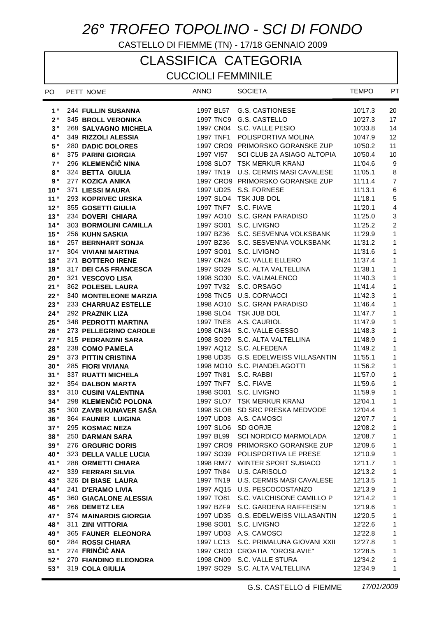# *26° TROFEO TOPOLINO - SCI DI FONDO*

CASTELLO DI FIEMME (TN) - 17/18 GENNAIO 2009

# CLASSIFICA CATEGORIA

### CUCCIOLI FEMMINILE

| PO.                | PETT NOME                                          | <b>ANNO</b> | <b>SOCIETA</b>                                                   | <b>TEMPO</b>       | PT             |
|--------------------|----------------------------------------------------|-------------|------------------------------------------------------------------|--------------------|----------------|
| $1^{\circ}$        | <b>244 FULLIN SUSANNA</b>                          | 1997 BL57   | G.S. CASTIONESE                                                  | 10'17.3            | 20             |
| $2^{\circ}$        | 345 BROLL VERONIKA                                 |             | 1997 TNC9 G.S. CASTELLO                                          | 10'27.3            | 17             |
| 3°                 | 268 SALVAGNO MICHELA                               |             | 1997 CN04 S.C. VALLE PESIO                                       | 10'33.8            | 14             |
| 4 °                | 349 RIZZOLI ALESSIA                                | 1997 TNF1   | POLISPORTIVA MOLINA                                              | 10'47.9            | 12             |
| 5°                 | 280 DADIC DOLORES                                  |             | 1997 CRO9 PRIMORSKO GORANSKE ZUP                                 | 10'50.2            | 11             |
| $6^{\circ}$        | 375 PARINI GIORGIA                                 | 1997 VI57   | SCI CLUB 2A ASIAGO ALTOPIA                                       | 10'50.4            | 10             |
| 7°                 | 296 KLEMENČIČ NINA                                 |             | 1998 SLO7 TSK MERKUR KRANJ                                       | 11'04.6            | 9              |
| $\bf 8$ $^{\circ}$ | 324 BETTA GIULIA                                   | 1997 TN19   | U.S. CERMIS MASI CAVALESE                                        | 11'05.1            | $\bf 8$        |
| $9°$               | 277 KOZICA ANIKA                                   |             | 1997 CRO9 PRIMORSKO GORANSKE ZUP                                 | 11'11.4            | $\overline{7}$ |
| 10°                | 371 LIESSI MAURA                                   |             | 1997 UD25 S.S. FORNESE                                           | 11'13.1            | 6              |
| 11°                | 293 KOPRIVEC URSKA                                 |             | 1997 SLO4 TSK JUB DOL                                            | 11'18.1            | $\mathbf 5$    |
| 12°                | 355 GOSETTI GIULIA                                 | 1997 TNF7   | S.C. FIAVE                                                       | 11'20.1            | 4              |
| 13°                | 234 DOVERI CHIARA                                  |             | 1997 AO10 S.C. GRAN PARADISO                                     | 11'25.0            | 3              |
| 14°                | 303 BORMOLINI CAMILLA                              |             | 1997 SO01 S.C. LIVIGNO                                           | 11'25.2            | $\overline{c}$ |
| 15°                | 256 KUHN SASKIA                                    |             | 1997 BZ36 S.C. SESVENNA VOLKSBANK                                | 11'29.9            | 1              |
| 16°                | 257 BERNHART SONJA                                 |             | 1997 BZ36 S.C. SESVENNA VOLKSBANK                                | 11'31.2            | 1              |
| 17°                | 304 VIVIANI MARTINA                                | 1997 SO01   | S.C. LIVIGNO                                                     | 11'31.6            | 1              |
| 18 $^{\circ}$      | 271 BOTTERO IRENE                                  |             | 1997 CN24 S.C. VALLE ELLERO                                      | 11'37.4            | 1              |
| 19°                | 317 DEI CAS FRANCESCA                              |             | 1997 SO29 S.C. ALTA VALTELLINA                                   | 11'38.1            | 1              |
| 20°                | 321 VESCOVO LISA                                   |             | 1998 SO30 S.C. VALMALENCO                                        | 11'40.3            | 1              |
| 21°                | 362 POLESEL LAURA                                  | 1997 TV32   | S.C. ORSAGO                                                      | 11'41.4            | 1              |
| 22°                | 340 MONTELEONE MARZIA                              |             | 1998 TNC5 U.S. CORNACCI                                          | 11'42.3            | 1              |
| 23°                | 233 CHARRUAZ ESTELLE                               |             | 1998 AO10 S.C. GRAN PARADISO                                     | 11'46.4            | 1              |
| 24°                | 292 PRAZNIK LIZA                                   |             | 1998 SLO4 TSK JUB DOL                                            | 11'47.7            | 1              |
| 25°                | 348 PEDROTTI MARTINA                               |             | 1997 TNE8 A.S. CAURIOL                                           | 11'47.9            | 1              |
| 26°                | 273 PELLEGRINO CAROLE                              |             | 1998 CN34 S.C. VALLE GESSO                                       | 11'48.3            | 1              |
| 27°                | 315 PEDRANZINI SARA                                |             | 1998 SO29 S.C. ALTA VALTELLINA                                   | 11'48.9            | 1              |
| 28°                | 238 COMO PAMELA                                    |             | 1997 AQ12 S.C. ALFEDENA                                          | 11'49.2            | 1              |
| 29°                | 373 PITTIN CRISTINA                                |             | 1998 UD35 G.S. EDELWEISS VILLASANTIN                             | 11'55.1            | 1              |
| 30°                | 285 FIORI VIVIANA                                  |             | 1998 MO10 S.C. PIANDELAGOTTI                                     | 11'56.2            | 1              |
| 31°                | 337 RUATTI MICHELA                                 | 1997 TN81   | S.C. RABBI                                                       | 11'57.0            | 1              |
| 32°                | 354 DALBON MARTA                                   |             | 1997 TNF7 S.C. FIAVE                                             | 11'59.6            | 1              |
| 33°                | 310 CUSINI VALENTINA                               |             | 1998 SO01 S.C. LIVIGNO                                           | 11'59.9            | 1              |
| 34°                | 298 KLEMENČIČ POLONA                               |             | 1997 SLO7 TSK MERKUR KRANJ                                       | 12'04.1            | 1              |
| 35°                | 300 ZAVBI KUNAVER SAŠA                             |             | 1998 SLOB SD SRC PRESKA MEDVODE                                  | 12'04.4            | 1              |
| 36°                | 364 FAUNER LUIGINA                                 |             | 1997 UD03 A.S. CAMOSCI                                           | 12'07.7            | 1              |
| 37°                | 295 KOSMAC NEZA                                    |             | 1997 SLO6 SD GORJE                                               | 12'08.2            | 1              |
| 38°                | <b>250 DARMAN SARA</b>                             | 1997 BL99   | <b>SCI NORDICO MARMOLADA</b><br>1997 CRO9 PRIMORSKO GORANSKE ZUP | 12'08.7            | 1              |
| 39°<br>40°         | 276 GRGURIC DORIS                                  |             | 1997 SO39 POLISPORTIVA LE PRESE                                  | 12'09.6<br>12'10.9 | 1<br>1         |
| 41°                | 323 DELLA VALLE LUCIA<br><b>288 ORMETTI CHIARA</b> |             | 1998 RM77 WINTER SPORT SUBIACO                                   | 12'11.7            | 1              |
| 42°                | 339 FERRARI SILVIA                                 | 1997 TN84   | U.S. CARISOLO                                                    | 12'13.2            | 1              |
| 43°                | 326 DI BIASE LAURA                                 | 1997 TN19   | U.S. CERMIS MASI CAVALESE                                        | 12'13.5            | 1              |
| 44°                | 241 D'ERAMO LIVIA                                  |             | 1997 AQ15 U.S. PESCOCOSTANZO                                     | 12'13.9            | 1              |
| 45°                | 360 GIACALONE ALESSIA                              | 1997 TO81   | S.C. VALCHISONE CAMILLO P                                        | 12'14.2            | 1              |
| 46°                | 266 DEMETZ LEA                                     |             | 1997 BZF9 S.C. GARDENA RAIFFEISEN                                | 12'19.6            | 1              |
| 47°                | 374 MAINARDIS GIORGIA                              |             | 1997 UD35 G.S. EDELWEISS VILLASANTIN                             | 12'20.5            | 1              |
| 48°                | 311 ZINI VITTORIA                                  | 1998 SO01   | S.C. LIVIGNO                                                     | 12'22.6            | 1              |
| 49°                | 365 FAUNER ELEONORA                                |             | 1997 UD03 A.S. CAMOSCI                                           | 12'22.8            | 1              |
| 50°                | <b>284 ROSSI CHIARA</b>                            | 1997 LC13   | S.C. PRIMALUNA GIOVANI XXII                                      | 12'27.8            | 1              |
| 51°                | 274 FRINČIĆ ANA                                    |             | 1997 CRO3 CROATIA "OROSLAVIE"                                    | 12'28.5            | 1              |
| 52°                | 270 FIANDINO ELEONORA                              |             | 1998 CN09 S.C. VALLE STURA                                       | 12'34.2            | 1              |
| 53°                | 319 COLA GIULIA                                    |             | 1997 SO29 S.C. ALTA VALTELLINA                                   | 12'34.9            | 1              |
|                    |                                                    |             |                                                                  |                    |                |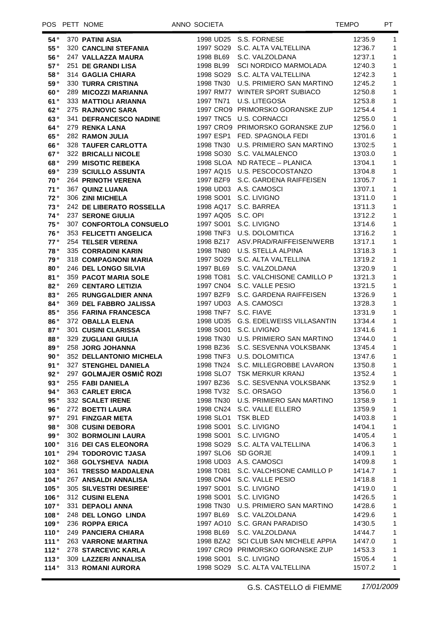| 54°           | 370 PATINI ASIA                 |                      | 1998 UD25 S.S. FORNESE               | 12'35.9 | 1                          |
|---------------|---------------------------------|----------------------|--------------------------------------|---------|----------------------------|
| 55°           | <b>320 CANCLINI STEFANIA</b>    |                      | 1997 SO29 S.C. ALTA VALTELLINA       | 12'36.7 | $\mathbf{1}$               |
| 56°           | 247 VALLAZZA MAURA              |                      | 1998 BL69 S.C. VALZOLDANA            | 12'37.1 | $\mathbf{1}$               |
| 57°           | 251 DE GRANDI LISA              |                      | 1998 BL99 SCI NORDICO MARMOLADA      | 12'40.3 | $\mathbf{1}$               |
| 58°           | 314 GAGLIA CHIARA               |                      | 1998 SO29 S.C. ALTA VALTELLINA       | 12'42.3 | $\mathbf{1}$               |
| 59°           | <b>330 TURRA CRISTINA</b>       |                      | 1998 TN30 U.S. PRIMIERO SAN MARTINO  | 12'45.2 | $\mathbf{1}$               |
| 60°           | 289 MICOZZI MARIANNA            |                      | 1997 RM77 WINTER SPORT SUBIACO       | 12'50.8 | $\mathbf{1}$               |
| 61°           | <b>333 MATTIOLI ARIANNA</b>     |                      | 1997 TN71 U.S. LITEGOSA              | 12'53.8 | $\mathbf{1}$               |
| 62°           | 275 RAJNOVIC SARA               |                      | 1997 CRO9 PRIMORSKO GORANSKE ZUP     | 12'54.4 | $\mathbf{1}$               |
| 63°           | 341 DEFRANCESCO NADINE          |                      | 1997 TNC5 U.S. CORNACCI              | 12'55.0 | $\mathbf{1}$               |
| 64°           | 279 RENKA LANA                  |                      | 1997 CRO9 PRIMORSKO GORANSKE ZUP     | 12'56.0 | $\mathbf{1}$               |
| 65°           | <b>282 RAMON JULIA</b>          |                      | 1997 ESP1 FED. SPAGNOLA FEDI         | 13'01.6 | $\mathbf{1}$               |
| 66°           | <b>328 TAUFER CARLOTTA</b>      |                      | 1998 TN30 U.S. PRIMIERO SAN MARTINO  | 13'02:5 | $\mathbf{1}$               |
| 67°           | <b>322 BRICALLI NICOLE</b>      |                      | 1998 SO30 S.C. VALMALENCO            | 13'03.0 | $\mathbf{1}$               |
| 68°           | 299 MISOTIC REBEKA              |                      | 1998 SLOA ND RATECE - PLANICA        | 13'04.1 | $\mathbf{1}$               |
| 69°           | <b>239 SCIULLO ASSUNTA</b>      |                      | 1997 AQ15 U.S. PESCOCOSTANZO         | 13'04.8 | $\mathbf 1$                |
| 70°           | <b>264 PRINOTH VERENA</b>       |                      | 1997 BZF9 S.C. GARDENA RAIFFEISEN    | 13'05.7 | $\mathbf 1$                |
| 71°           | 367 QUINZ LUANA                 |                      | 1998 UD03 A.S. CAMOSCI               | 13'07.1 | $\mathbf 1$                |
| 72°           | 306 ZINI MICHELA                |                      | 1998 SO01 S.C. LIVIGNO               | 13'11.0 | $\mathbf{1}$               |
| 73°           | <b>242 DE LIBERATO ROSSELLA</b> |                      | 1998 AQ17 S.C. BARREA                | 13'11.3 | $\mathbf{1}$               |
| 74°           | <b>237 SERONE GIULIA</b>        | 1997 AQ05 S.C. OPI   |                                      | 13'12.2 | $\mathbf{1}$               |
| 75°           | 307 CONFORTOLA CONSUELO         |                      | 1997 SO01 S.C. LIVIGNO               | 13'14.6 | $\mathbf{1}$               |
| 76°           | <b>353 FELICETTI ANGELICA</b>   |                      | 1998 TNF3 U.S. DOLOMITICA            | 13'16.2 | $\mathbf{1}$               |
| 77°           | 254 TELSER VERENA               |                      | 1998 BZ17 ASV.PRAD/RAIFFEISEN/WERB   | 13'17.1 | $\mathbf{1}$               |
| 78°           | 335 CORRADINI KARIN             |                      | 1998 TN80 U.S. STELLA ALPINA         | 13'18.3 | $\mathbf{1}$               |
| 79°           | 318 COMPAGNONI MARIA            |                      | 1997 SO29 S.C. ALTA VALTELLINA       | 13'19.2 | $\mathbf{1}$               |
| 80°           | <b>246 DEL LONGO SILVIA</b>     |                      | 1997 BL69 S.C. VALZOLDANA            | 13'20.9 | $\mathbf{1}$               |
| 81°           | <b>359 PACOT MARIA SOLE</b>     |                      | 1998 TO81 S.C. VALCHISONE CAMILLO P  | 13'21.3 | $\mathbf{1}$               |
| 82°           | <b>269 CENTARO LETIZIA</b>      |                      | 1997 CN04 S.C. VALLE PESIO           | 13'21.5 | $\mathbf{1}$               |
| 83°           | <b>265 RUNGGALDIER ANNA</b>     |                      | 1997 BZF9 S.C. GARDENA RAIFFEISEN    | 13'26.9 | $\mathbf{1}$               |
| 84°           | <b>369 DEL FABBRO JALISSA</b>   |                      | 1997 UD03 A.S. CAMOSCI               | 13'28.3 | $\mathbf{1}$               |
| 85°           | <b>356 FARINA FRANCESCA</b>     | 1998 TNF7 S.C. FIAVE |                                      | 13'31.9 | $\mathbf{1}$               |
| 86°           | 372 OBALLA ELENA                |                      | 1998 UD35 G.S. EDELWEISS VILLASANTIN | 13'34.4 | $\mathbf{1}$               |
| 87°           | <b>301 CUSINI CLARISSA</b>      |                      | 1998 SO01 S.C. LIVIGNO               | 13'41.6 | $\mathbf{1}$               |
| 88°           | 329 ZUGLIANI GIULIA             |                      | 1998 TN30 U.S. PRIMIERO SAN MARTINO  | 13'44.0 | $\mathbf{1}$               |
| 89°           | 258 JORG JOHANNA                |                      | 1998 BZ36 S.C. SESVENNA VOLKSBANK    | 13'45.4 | $\mathbf{1}$               |
| 90°           | 352 DELLANTONIO MICHELA         |                      | 1998 TNF3 U.S. DOLOMITICA            | 13'47.6 | $\mathbf 1$                |
| 91°           | 327 STENGHEL DANIELA            |                      | 1998 TN24 S.C. MILLEGROBBE LAVARON   | 13'50.8 | $\overline{\phantom{0}}$ 1 |
| 92°           | 297 GOLMAJER OSMIČ ROZI         |                      | 1998 SLO7 TSK MERKUR KRANJ           | 13'52.4 | 1                          |
| $93°$         | 255 FABI DANIELA                |                      | 1997 BZ36 S.C. SESVENNA VOLKSBANK    | 13'52.9 | $\mathbf{1}$               |
| 94°           | <b>363 CARLET ERICA</b>         |                      | 1998 TV32 S.C. ORSAGO                | 13'56.0 | $\mathbf{1}$               |
| 95°           | 332 SCALET IRENE                |                      | 1998 TN30 U.S. PRIMIERO SAN MARTINO  | 13'58.9 | $\mathbf{1}$               |
| 96°           | 272 BOETTI LAURA                |                      | 1998 CN24 S.C. VALLE ELLERO          | 13'59.9 | $\mathbf{1}$               |
| 97°           | 291 FINZGAR META                | 1998 SLO1 TSK BLED   |                                      | 14'03.8 | 1                          |
| 98 $^{\circ}$ | 308 CUSINI DEBORA               |                      | 1998 SO01 S.C. LIVIGNO               | 14'04.1 | $\mathbf{1}$               |
| 99 $^{\circ}$ | <b>302 BORMOLINI LAURA</b>      |                      | 1998 SO01 S.C. LIVIGNO               | 14'05.4 | 1                          |
| 100°          | 316 DEI CAS ELEONORA            |                      | 1998 SO29 S.C. ALTA VALTELLINA       | 14'06.3 | 1                          |
| 101 °         | 294 TODOROVIC TJASA             | 1997 SLO6 SD GORJE   |                                      | 14'09.1 | $\mathbf{1}$               |
| 102°          | 368 GOLYSHEVA NADIA             |                      | 1998 UD03 A.S. CAMOSCI               | 14'09.8 | 1                          |
| 103 °         | <b>361 TRESSO MADDALENA</b>     |                      | 1998 TO81 S.C. VALCHISONE CAMILLO P  | 14'14.7 | $\mathbf{1}$               |
| 104°          | 267 ANSALDI ANNALISA            |                      | 1998 CN04 S.C. VALLE PESIO           | 14'18.8 | $\mathbf{1}$               |
| 105 °         | 305 SILVESTRI DESIREE'          |                      | 1997 SO01 S.C. LIVIGNO               | 14'19.0 | $\mathbf{1}$               |
| 106 °         | 312 CUSINI ELENA                |                      | 1998 SO01 S.C. LIVIGNO               | 14'26.5 | $\mathbf{1}$               |
| 107°          | 331 DEPAOLI ANNA                |                      | 1998 TN30 U.S. PRIMIERO SAN MARTINO  | 14'28.6 | $\mathbf{1}$               |
| 108°          | 248 DEL LONGO LINDA             |                      | 1997 BL69 S.C. VALZOLDANA            | 14'29.6 | $\mathbf{1}$               |
| 109°          | 236 ROPPA ERICA                 |                      | 1997 AO10 S.C. GRAN PARADISO         | 14'30.5 | 1                          |
| 110 °         | 249 PANCIERA CHIARA             |                      | 1998 BL69 S.C. VALZOLDANA            | 14'44.7 | 1                          |
| 111 °         | <b>263 VARRONE MARTINA</b>      |                      | 1998 BZA2 SCI CLUB SAN MICHELE APPIA | 14'47.0 | 1                          |
| 112 °         | 278 STARCEVIC KARLA             |                      | 1997 CRO9 PRIMORSKO GORANSKE ZUP     | 14'53.3 | 1                          |
| 113 °         | 309 LAZZERI ANNALISA            |                      | 1998 SO01 S.C. LIVIGNO               | 15'05.4 | 1                          |
| 114 °         | 313 ROMANI AURORA               |                      | 1998 SO29 S.C. ALTA VALTELLINA       | 15'07.2 | 1                          |
|               |                                 |                      |                                      |         |                            |